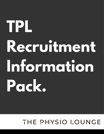**TPL Recruitment Information Pack.**

## THE PHYSIO LOUNGE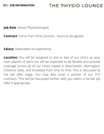**Job Role**: Senior Physiotherapist

**Contract**: Full or Part-Time Contract - hours to be agreed

**Salary:** Dependent on experience

lace/s of work but will be expected to be<br>ge across all of our clinics based in Manc<br>re Oaks, and Knowsley from time to time.<br>p. offer stage You may also cover a n appropriate.<br> **Screen.**<br> **Screen. Location:** You will be assigned to one or two of our clinics as your main place/s of work but will be expected to be flexible and provide coverage across all of our clinics based in Manchester, Warrington, Cheshire Oaks, and Knowsley from time to time. This is discussed at the job offer stage. You may also cover a portion of our FCP contracts. This will be discussed further with you within a formal job offer if appropriate.

## THE PHYSIO LOUNGE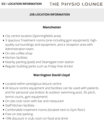### **JOB LOCATION INFORMATION**

- City centre location (Spinningfields area).
- 3 spacious Treatment rooms (one including gym equipment), highquality surroundings and equipment, and a reception area with Administration team.
- On-site coffee shop
- Kitchen facilities
- Nearby parking (paid) and Deansgate train station
- y parking (paid) and Deansgate train statior<br>Ir building perks such as Friday free drinks!<br>Warrington David Llovd Regular building perks such as Friday free drinks!

- On-site club room with bar and restaurant
- **Staff Kitchen facilities**
- Comfortable treatment rooms (located next to Gym floor)
- Free on-site parking
- 10% discount in club room on food and drink
- Located within prestigious leisure centre
- ed within prestigious leisure centre<br>ure centre equipment and facilities can b<br>ir personal use (indoor & outdoor swimm All leisure centre equipment and facilities can be used with patients and for personal use (indoor & outdoor swimming pool, 3G pitch,

tennis courts, gym equipment)

### **Manchester**

### **Warrington David Lloyd**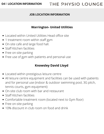### **JOB LOCATION INFORMATION**

- Located within United Utilities Head office site
- 1 treatment room within staff gym
- On-site cafe and large food hall.
- Staff Kitchen facilities
- Free on-site parking
- Free use of gym with patients and personal use

- **Formally David Lloyd<br>Located within prestigious leisure centre**
- and for personal use (indoor & outdoor swimming pool, 3G pitch,<br>tennis courts, gym equipment)<br>On-site club room with bar and restaurant<br>Staff Kitchen fasilities All leisure centre equipment and facilities can be used with patients tennis courts, gym equipment)
- On-site club room with bar and restaurant
- Staff Kitchen facilities  $\bullet$
- Comfortable treatment room (located next to Gym floor)
- Free on-site parking  $\bullet$
- 10% discount in club room on food and drink

### **Warrington- United Utilities**

### **Knowsley David Lloyd**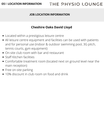### **JOB LOCATION INFORMATION**

### **Cheshire Oaks David Lloyd**

- Located within a prestigious leisure centre
- All leisure centre equipment and facilities can be used with patients and for personal use (indoor & outdoor swimming pool, 3G pitch, tennis courts, gym equipment)
- On-site club room with bar and restaurant
- Staff Kitchen facilities
- Comfortable treatment room (located next on gre<br>main reception)<br>Free on-site parking<br>10% discount in club room on food and drink Comfortable treatment room (located next on ground level near the main reception)
- Free on-site parking
-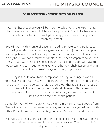### **JOB DESCRIPTION - SENIOR PHYSIOTHERAPIST**

At The Physio Lounge you will be in comfortable working environments, which include extensive and high-quality equipment. Our clinics have access to high-class facilities including Hydrotherapy resources and ample Gym rehab equipment.

re you won't get bored of seeing the same injuri<sub>t</sub><br>tunity to carry out home visits, Hydrotherapy rel<br>rehabilitation sessions giving variety to yo You will work with a range of patients including private paying patients with sporting injuries, post-operative, general common injuries, and complex trauma patients. You will have opportunities to treat a variety of patients on a daily basis. We don't work with whiplash insurance companies so you can be sure you won't get bored of seeing the same injuries. You will have the opportunity to carry out home visits, Hydrotherapy rehabilitation, and gym rehabilitation sessions giving variety to your day.

ging, and rewarding. We difderstand the impt<br>he writing of reports, therefore ensure our the<br>hutes admin slots throughout the day (full-time<br>rapists to keep on top of all administration, lea A day in the life of a Physiotherapist at The Physio Lounge is varied, challenging, and rewarding. We understand the importance of note keeping and the writing of reports, therefore ensure our therapists are given 2x30 minutes admin slots throughout the day (full-timers). This allows our therapists to keep on top of all administration, leaving the treatment sessions to be focused on the patient.

Some days you will work autonomously in a clinic with remote support from Senior Physio's and other team members, and other days you will work with other Physiotherapists, collaborating on patient's diagnosis and treatment.

You will also attend sporting events for promotional activities such as running events providing injury prevention advice and massages. These are really fun days out of the clinic!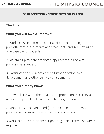### **JOB DESCRIPTION - SENIOR PHYSIOTHERAPIST**

### **The Role**

### **What you will own & improve:**

**Posture** 3. Participate and own activities to further develop own 2. Maintain up-to-date physiotherapy records in line with professional standards.

1. Working as an autonomous practitioner in providing physiotherapy assessments and treatments and goal setting to own caseload of patients.

# **Sou already know:**<br>Who liaise with other health care professing **What you already know:**

development and other service developments.

1. How to liaise with other health care professionals, carers, and relatives to provide education and training as required.

2. Monitor, evaluate and modify treatment in order to measure progress and ensure the effectiveness of intervention.

3.Work as a lone practitioner supporting Junior Therapists where required.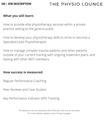### **What you will learn:**

How to provide elite physiotherapy services within a private practice setting to the general public.

How to develop your physiotherapy skills to strive to become a Specialist/Lead Physiotherapist.

# **Postal Serves Serves Serves Serves Serves Serves Serves Serves Serves Serves Serves Serves Serves Serves Serves How success is measured:**

**Scholars**<br>
Scholars and Case Studies<br>
Scholars and Case Studies Peer Reviews and Case Studies

How to manage complex trauma patients and other patients outside of your current training with ongoing treatment plans, and liaising with other MDT members.

Regular Performance Coaching

### Key Performance Indicator (KPI) Tracking

The above is not an exhaustive list of the job role but an overview. For more details speak to your hiring manager.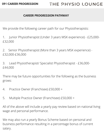### **CAREER PROGRESSION PATHWAY**

We provide the following career path for our Physiotherapists:

1. Junior Physiotherapist (Under 3 years MSK experience) - £25,000- £32,000

d Physiotherapist/ Specialist Physiotherapi<br>**Propile Specialist**<br> 3. Lead Physiotherapist/ Specialist Physiotherapist - £36,000- £44,000

ctice Owner (Franchisee) £50,000 + 4. Practice Owner (Franchisee) £50,000 +

2. Senior Physiotherapist (More than 3 years MSK experience) - £32,000-£36,000

There may be future opportunities for the following as the business grows:

5. Multiple Practice Owner (Franchisee) £50,000 +

All of the above will include a yearly pay review based on national living wage and personal performance.

We may also run a yearly Bonus Scheme based on personal and business performance resulting in a percentage bonus of current salary.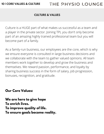### **CULTURE & VALUES**

Culture is a HUGE part of what makes us successful as a team and a player in the private sector. Joining TPL you don't only become part of an amazing highly trained professional team but you will become part of a family.

members work together to develop and grow the business and<br>themselves. We reward passion, performance, and loyalty by<br>sharing business success in the form of salary, job progression,<br>harijess rese*s*rition, and statituals As a family-run business, our employees are the core, which is why we ensure everyone is consulted in large business decisions and we collaborate with the team to gather valued opinions. All team themselves. We reward passion, performance, and loyalty by sharing business success in the form of salary, job progression, bonuses, recognition, and gratitude.

# **Screen.**<br>Screen.com<br>Screen.com<br>Screen.com **Our Core Values:**

**We are here to give hope To enrich lives. To improve quality of life. To ensure goals become reality.**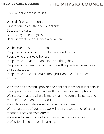How we deliver these values:

We redefine expectations.

First for ourselves, then for our clients.

Because we care.

Because "good enough" isn't.

Because what we do defines who we are.

We believe our soul is our people.

ie who are accountable for everydring they<br>le who value-add to our culture with a posi<br>do attitude.<br>le who are considerate, thoughtful and hel People who value-add to our culture with a positive, pro-active and can-do attitude.

People who believe in themselves and each other.

People who are always honest.

trive to constantly provide the right soluti<br>quest to reach optimal health with best-i We strive to constantly provide the right solutions for our clients, in their quest to reach optimal health with best-in-class options.

People who are accountable for everything they do.

People who are considerate, thoughtful and helpful to those around them.

We respect that the whole is more than the sum of its parts, and more effective than the individual. We collaborate to deliver exceptional clinical care. With an attitude of gratitude we will listen, respect and reflect on feedback received from others. We are enthusiastic about and committed to our ongoing professional and personal learning.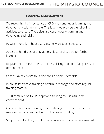#### **12 | LEARNING & DEVELOPMENT** THE PHYSIO LOUNGE

#### **LEARNING & DEVELOPMENT**

We recognize the importance of CPD and continuous learning and development within any role. This is why we provide the following activities to ensure Therapists are continuously learning and developing their skills:

**Posture** Regular peer reviews to ensure cross-skilling and identifying areas of development

Regular monthly in house CPD events with guest speakers

use interactive training platform to manage a<br>ng material<br>... In house interactive training platform to manage and store regular training material

Access to hundreds of CPD videos, blogs, and papers for further learning

Case study reviews with Senior and Principle Therapists

£500 contribution to TPL approved training courses (full time contract only)

Consideration of all training courses through training requests to management and support with full or partial funding

Support and flexibility with further education courses where needed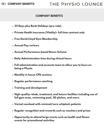### **13 | COMPANY BENEFITS**

## THE PHYSIO LOUNGE

#### **COMPANY BENEFITS**

- **25 Days plus Bank Holidays (pro rata)**
- **Private Health Insurance (Vitality)- full time contract only**
- **Free David Lloyd Gym Membership**
- **Annual Pay reviews**
- **Annual Performance-based Bonus Scheme**
- **Daily Administration time during clinical hours**
- Full administration and accounts team to allow<br>being a Physio<br>Monthly in house CPD sessions **Full administration and accounts team to allow you to focus on being a Physio**
- **Monthly in house CPD sessions**
- **Regular performance coaching**
- **Training and development**
- **Kegular pertormance coaching<br>Training and development<br>High-auglity rehab, treatment, and leisure fa High-quality rehab, treatment, and leisure facilities including use of full gym area, swimming pool, 3G pitches, and more.**
- **Varied caseload with minimal/zero whiplash patients**
- **Regular recognition and rewards such as vouchers and prizes**
- **Opportunity to attend large events such as health and fitness events for promotional activities**